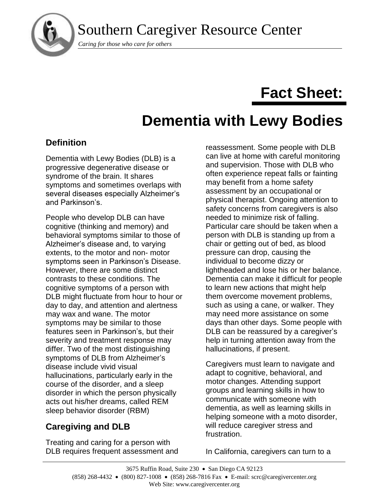Southern Caregiver Resource Center



*Caring for those who care for others*

# **Fact Sheet:**

# **Dementia with Lewy Bodies**

## **Definition**

Dementia with Lewy Bodies (DLB) is a progressive degenerative disease or syndrome of the brain. It shares symptoms and sometimes overlaps with several diseases especially Alzheimer's and Parkinson's.

People who develop DLB can have cognitive (thinking and memory) and behavioral symptoms similar to those of Alzheimer's disease and, to varying extents, to the motor and non- motor symptoms seen in Parkinson's Disease. However, there are some distinct contrasts to these conditions. The cognitive symptoms of a person with DLB might fluctuate from hour to hour or day to day, and attention and alertness may wax and wane. The motor symptoms may be similar to those features seen in Parkinson's, but their severity and treatment response may differ. Two of the most distinguishing symptoms of DLB from Alzheimer's disease include vivid visual hallucinations, particularly early in the course of the disorder, and a sleep disorder in which the person physically acts out his/her dreams, called REM sleep behavior disorder (RBM)

# **Caregiving and DLB**

Treating and caring for a person with DLB requires frequent assessment and reassessment. Some people with DLB can live at home with careful monitoring and supervision. Those with DLB who often experience repeat falls or fainting may benefit from a home safety assessment by an occupational or physical therapist. Ongoing attention to safety concerns from caregivers is also needed to minimize risk of falling. Particular care should be taken when a person with DLB is standing up from a chair or getting out of bed, as blood pressure can drop, causing the individual to become dizzy or lightheaded and lose his or her balance. Dementia can make it difficult for people to learn new actions that might help them overcome movement problems, such as using a cane, or walker. They may need more assistance on some days than other days. Some people with DLB can be reassured by a caregiver's help in turning attention away from the hallucinations, if present.

Caregivers must learn to navigate and adapt to cognitive, behavioral, and motor changes. Attending support groups and learning skills in how to communicate with someone with dementia, as well as learning skills in helping someone with a moto disorder, will reduce caregiver stress and frustration.

In California, caregivers can turn to a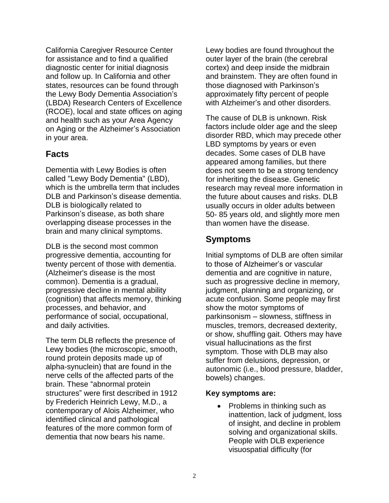California Caregiver Resource Center for assistance and to find a qualified diagnostic center for initial diagnosis and follow up. In California and other states, resources can be found through the Lewy Body Dementia Association's (LBDA) Research Centers of Excellence (RCOE), local and state offices on aging and health such as your Area Agency on Aging or the Alzheimer's Association in your area.

### **Facts**

Dementia with Lewy Bodies is often called "Lewy Body Dementia" (LBD), which is the umbrella term that includes DLB and Parkinson's disease dementia. DLB is biologically related to Parkinson's disease, as both share overlapping disease processes in the brain and many clinical symptoms.

DLB is the second most common progressive dementia, accounting for twenty percent of those with dementia. (Alzheimer's disease is the most common). Dementia is a gradual, progressive decline in mental ability (cognition) that affects memory, thinking processes, and behavior, and performance of social, occupational, and daily activities.

The term DLB reflects the presence of Lewy bodies (the microscopic, smooth, round protein deposits made up of alpha-synuclein) that are found in the nerve cells of the affected parts of the brain. These "abnormal protein structures" were first described in 1912 by Frederich Heinrich Lewy, M.D., a contemporary of Alois Alzheimer, who identified clinical and pathological features of the more common form of dementia that now bears his name.

Lewy bodies are found throughout the outer layer of the brain (the cerebral cortex) and deep inside the midbrain and brainstem. They are often found in those diagnosed with Parkinson's approximately fifty percent of people with Alzheimer's and other disorders.

The cause of DLB is unknown. Risk factors include older age and the sleep disorder RBD, which may precede other LBD symptoms by years or even decades. Some cases of DLB have appeared among families, but there does not seem to be a strong tendency for inheriting the disease. Genetic research may reveal more information in the future about causes and risks. DLB usually occurs in older adults between 50- 85 years old, and slightly more men than women have the disease.

### **Symptoms**

Initial symptoms of DLB are often similar to those of Alzheimer's or vascular dementia and are cognitive in nature, such as progressive decline in memory, judgment, planning and organizing, or acute confusion. Some people may first show the motor symptoms of parkinsonism – slowness, stiffness in muscles, tremors, decreased dexterity, or show, shuffling gait. Others may have visual hallucinations as the first symptom. Those with DLB may also suffer from delusions, depression, or autonomic (i.e., blood pressure, bladder, bowels) changes.

#### **Key symptoms are:**

• Problems in thinking such as inattention, lack of judgment, loss of insight, and decline in problem solving and organizational skills. People with DLB experience visuospatial difficulty (for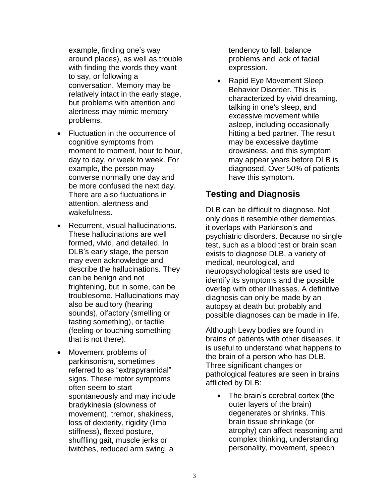example, finding one's way around places), as well as trouble with finding the words they want to say, or following a conversation. Memory may be relatively intact in the early stage, but problems with attention and alertness may mimic memory problems.

- Fluctuation in the occurrence of cognitive symptoms from moment to moment, hour to hour, day to day, or week to week. For example, the person may converse normally one day and be more confused the next day. There are also fluctuations in attention, alertness and wakefulness.
- Recurrent, visual hallucinations. These hallucinations are well formed, vivid, and detailed. In DLB's early stage, the person may even acknowledge and describe the hallucinations. They can be benign and not frightening, but in some, can be troublesome. Hallucinations may also be auditory (hearing sounds), olfactory (smelling or tasting something), or tactile (feeling or touching something that is not there).
- Movement problems of parkinsonism, sometimes referred to as "extrapyramidal" signs. These motor symptoms often seem to start spontaneously and may include bradykinesia (slowness of movement), tremor, shakiness, loss of dexterity, rigidity (limb stiffness), flexed posture, shuffling gait, muscle jerks or twitches, reduced arm swing, a

tendency to fall, balance problems and lack of facial expression.

• Rapid Eye Movement Sleep Behavior Disorder. This is characterized by vivid dreaming, talking in one's sleep, and excessive movement while asleep, including occasionally hitting a bed partner. The result may be excessive daytime drowsiness, and this symptom may appear years before DLB is diagnosed. Over 50% of patients have this symptom.

## **Testing and Diagnosis**

DLB can be difficult to diagnose. Not only does it resemble other dementias, it overlaps with Parkinson's and psychiatric disorders. Because no single test, such as a blood test or brain scan exists to diagnose DLB, a variety of medical, neurological, and neuropsychological tests are used to identify its symptoms and the possible overlap with other illnesses. A definitive diagnosis can only be made by an autopsy at death but probably and possible diagnoses can be made in life.

Although Lewy bodies are found in brains of patients with other diseases, it is useful to understand what happens to the brain of a person who has DLB. Three significant changes or pathological features are seen in brains afflicted by DLB:

• The brain's cerebral cortex (the outer layers of the brain) degenerates or shrinks. This brain tissue shrinkage (or atrophy) can affect reasoning and complex thinking, understanding personality, movement, speech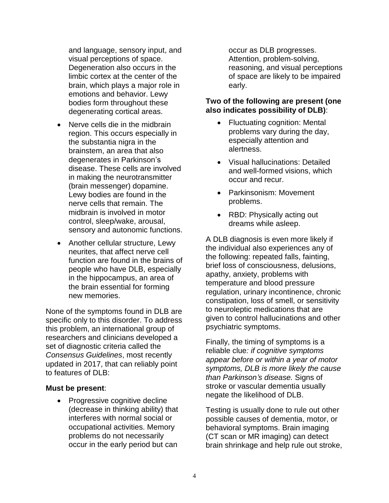and language, sensory input, and visual perceptions of space. Degeneration also occurs in the limbic cortex at the center of the brain, which plays a major role in emotions and behavior. Lewy bodies form throughout these degenerating cortical areas.

- Nerve cells die in the midbrain region. This occurs especially in the substantia nigra in the brainstem, an area that also degenerates in Parkinson's disease. These cells are involved in making the neurotransmitter (brain messenger) dopamine. Lewy bodies are found in the nerve cells that remain. The midbrain is involved in motor control, sleep/wake, arousal, sensory and autonomic functions.
- Another cellular structure, Lewy neurites, that affect nerve cell function are found in the brains of people who have DLB, especially in the hippocampus, an area of the brain essential for forming new memories.

None of the symptoms found in DLB are specific only to this disorder. To address this problem, an international group of researchers and clinicians developed a set of diagnostic criteria called the *Consensus Guidelines*, most recently updated in 2017, that can reliably point to features of DLB:

#### **Must be present**:

• Progressive cognitive decline (decrease in thinking ability) that interferes with normal social or occupational activities. Memory problems do not necessarily occur in the early period but can

occur as DLB progresses. Attention, problem-solving, reasoning, and visual perceptions of space are likely to be impaired early.

#### **Two of the following are present (one also indicates possibility of DLB)**:

- Fluctuating cognition: Mental problems vary during the day, especially attention and alertness.
- Visual hallucinations: Detailed and well-formed visions, which occur and recur.
- Parkinsonism: Movement problems.
- RBD: Physically acting out dreams while asleep.

A DLB diagnosis is even more likely if the individual also experiences any of the following: repeated falls, fainting, brief loss of consciousness, delusions, apathy, anxiety, problems with temperature and blood pressure regulation, urinary incontinence, chronic constipation, loss of smell, or sensitivity to neuroleptic medications that are given to control hallucinations and other psychiatric symptoms.

Finally, the timing of symptoms is a reliable clue*: if cognitive symptoms appear before or within a year of motor symptoms, DLB is more likely the cause than Parkinson's disease.* Signs of stroke or vascular dementia usually negate the likelihood of DLB.

Testing is usually done to rule out other possible causes of dementia, motor, or behavioral symptoms. Brain imaging (CT scan or MR imaging) can detect brain shrinkage and help rule out stroke,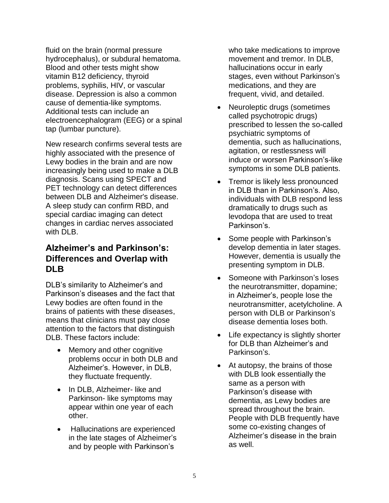fluid on the brain (normal pressure hydrocephalus), or subdural hematoma. Blood and other tests might show vitamin B12 deficiency, thyroid problems, syphilis, HIV, or vascular disease. Depression is also a common cause of dementia-like symptoms. Additional tests can include an electroencephalogram (EEG) or a spinal tap (lumbar puncture).

New research confirms several tests are highly associated with the presence of Lewy bodies in the brain and are now increasingly being used to make a DLB diagnosis. Scans using SPECT and PET technology can detect differences between DLB and Alzheimer's disease. A sleep study can confirm RBD, and special cardiac imaging can detect changes in cardiac nerves associated with DI B.

## **Alzheimer's and Parkinson's: Differences and Overlap with DLB**

DLB's similarity to Alzheimer's and Parkinson's diseases and the fact that Lewy bodies are often found in the brains of patients with these diseases, means that clinicians must pay close attention to the factors that distinguish DLB. These factors include:

- Memory and other cognitive problems occur in both DLB and Alzheimer's. However, in DLB, they fluctuate frequently.
- In DLB, Alzheimer- like and Parkinson- like symptoms may appear within one year of each other.
- Hallucinations are experienced in the late stages of Alzheimer's and by people with Parkinson's

who take medications to improve movement and tremor. In DLB, hallucinations occur in early stages, even without Parkinson's medications, and they are frequent, vivid, and detailed.

- Neuroleptic drugs (sometimes called psychotropic drugs) prescribed to lessen the so-called psychiatric symptoms of dementia, such as hallucinations, agitation, or restlessness will induce or worsen Parkinson's-like symptoms in some DLB patients.
- Tremor is likely less pronounced in DLB than in Parkinson's. Also, individuals with DLB respond less dramatically to drugs such as levodopa that are used to treat Parkinson's.
- Some people with Parkinson's develop dementia in later stages. However, dementia is usually the presenting symptom in DLB.
- Someone with Parkinson's loses the neurotransmitter, dopamine; in Alzheimer's, people lose the neurotransmitter, acetylcholine. A person with DLB or Parkinson's disease dementia loses both.
- Life expectancy is slightly shorter for DLB than Alzheimer's and Parkinson's.
- At autopsy, the brains of those with DLB look essentially the same as a person with Parkinson's disease with dementia, as Lewy bodies are spread throughout the brain. People with DLB frequently have some co-existing changes of Alzheimer's disease in the brain as well.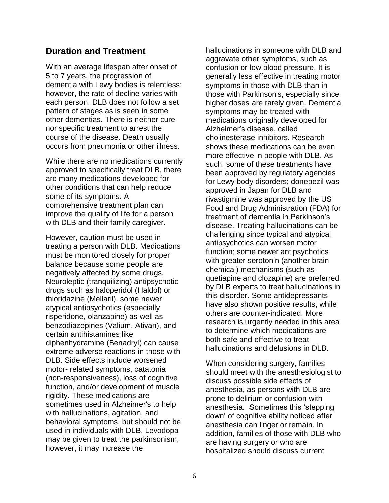## **Duration and Treatment**

With an average lifespan after onset of 5 to 7 years, the progression of dementia with Lewy bodies is relentless; however, the rate of decline varies with each person. DLB does not follow a set pattern of stages as is seen in some other dementias. There is neither cure nor specific treatment to arrest the course of the disease. Death usually occurs from pneumonia or other illness.

While there are no medications currently approved to specifically treat DLB, there are many medications developed for other conditions that can help reduce some of its symptoms. A comprehensive treatment plan can improve the qualify of life for a person with DLB and their family caregiver.

However, caution must be used in treating a person with DLB. Medications must be monitored closely for proper balance because some people are negatively affected by some drugs. Neuroleptic (tranquilizing) antipsychotic drugs such as haloperidol (Haldol) or thioridazine (Mellaril), some newer atypical antipsychotics (especially risperidone, olanzapine) as well as benzodiazepines (Valium, Ativan), and certain antihistamines like diphenhydramine (Benadryl) can cause extreme adverse reactions in those with DLB. Side effects include worsened motor- related symptoms, catatonia (non-responsiveness), loss of cognitive function, and/or development of muscle rigidity. These medications are sometimes used in Alzheimer's to help with hallucinations, agitation, and behavioral symptoms, but should not be used in individuals with DLB. Levodopa may be given to treat the parkinsonism, however, it may increase the

hallucinations in someone with DLB and aggravate other symptoms, such as confusion or low blood pressure. It is generally less effective in treating motor symptoms in those with DLB than in those with Parkinson's, especially since higher doses are rarely given. Dementia symptoms may be treated with medications originally developed for Alzheimer's disease, called cholinesterase inhibitors. Research shows these medications can be even more effective in people with DLB. As such, some of these treatments have been approved by regulatory agencies for Lewy body disorders; donepezil was approved in Japan for DLB and rivastigmine was approved by the US Food and Drug Administration (FDA) for treatment of dementia in Parkinson's disease. Treating hallucinations can be challenging since typical and atypical antipsychotics can worsen motor function; some newer antipsychotics with greater serotonin (another brain chemical) mechanisms (such as quetiapine and clozapine) are preferred by DLB experts to treat hallucinations in this disorder. Some antidepressants have also shown positive results, while others are counter-indicated. More research is urgently needed in this area to determine which medications are both safe and effective to treat hallucinations and delusions in DLB.

When considering surgery, families should meet with the anesthesiologist to discuss possible side effects of anesthesia, as persons with DLB are prone to delirium or confusion with anesthesia. Sometimes this 'stepping down' of cognitive ability noticed after anesthesia can linger or remain. In addition, families of those with DLB who are having surgery or who are hospitalized should discuss current